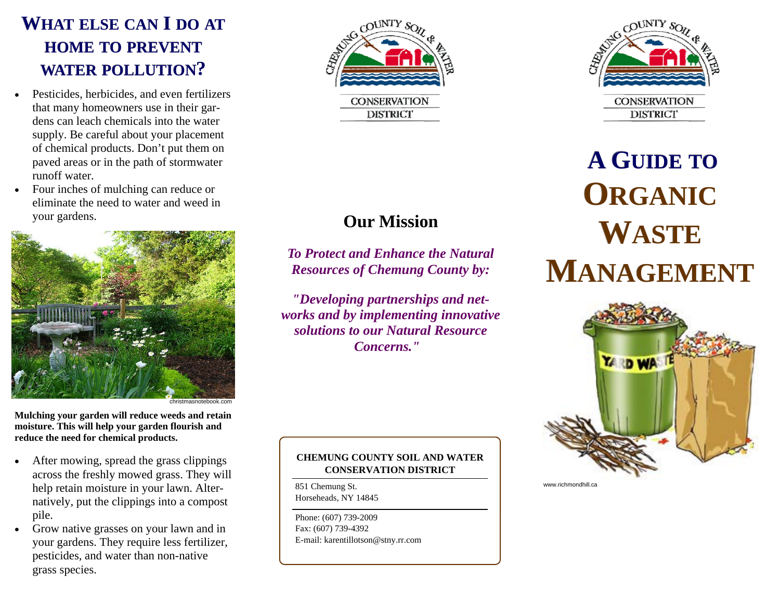## **WHAT ELSE CAN I DO AT HOME TO PREVENT WATER POLLUTION?**

- Pesticides, herbicides, and even fertilizers that many homeowners use in their gardens can leach chemicals into the water supply. Be careful about your placement of chemical products. Don't put them on paved areas or in the path of stormwater runoff water.
- Four inches of mulching can reduce or eliminate the need to water and weed in your gardens.



**Mulching your garden will reduce weeds and retain moisture. This will help your garden flourish and reduce the need for chemical products.** 

- After mowing, spread the grass clippings across the freshly mowed grass. They will help retain moisture in your lawn. Alternatively, put the clippings into a compost pile.
- Grow native grasses on your lawn and in your gardens. They require less fertilizer, pesticides, and water than non-native grass species.



**Our Mission** 

*To Protect and Enhance the Natural Resources of Chemung County by:*

*"Developing partnerships and networks and by implementing innovative solutions to our Natural Resource Concerns."*



 **A GUIDE TOORGANICWASTEMANAGEMENT** 



**CHEMUNG COUNTY SOIL AND WATER CONSERVATION DISTRICT** 

851 Chemung St. Horseheads, NY 14845

Phone: (607) 739-2009 Fax: (607) 739-4392 E-mail: karentillotson@stny.rr.com www.richmondhill.ca